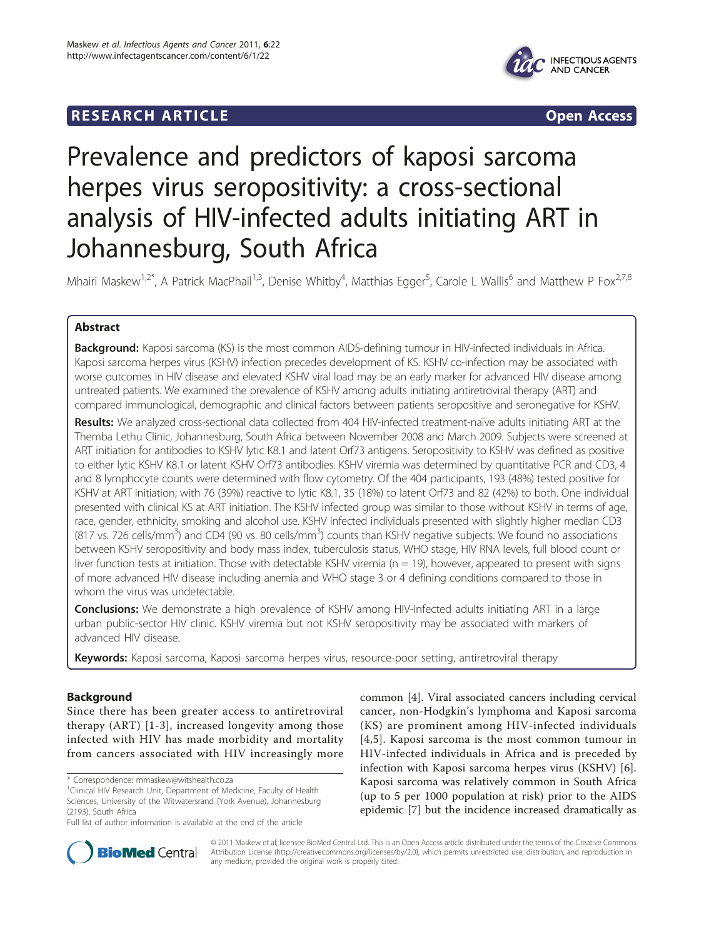## **RESEARCH ARTICLE Example 2018 CONSIDERING ACCESS**



# Prevalence and predictors of kaposi sarcoma herpes virus seropositivity: a cross-sectional analysis of HIV-infected adults initiating ART in Johannesburg, South Africa

Mhairi Maskew<sup>1,2\*</sup>, A Patrick MacPhail<sup>1,3</sup>, Denise Whitby<sup>4</sup>, Matthias Egger<sup>5</sup>, Carole L Wallis<sup>6</sup> and Matthew P Fox<sup>2,7,8</sup>

## Abstract

Background: Kaposi sarcoma (KS) is the most common AIDS-defining tumour in HIV-infected individuals in Africa. Kaposi sarcoma herpes virus (KSHV) infection precedes development of KS. KSHV co-infection may be associated with worse outcomes in HIV disease and elevated KSHV viral load may be an early marker for advanced HIV disease among untreated patients. We examined the prevalence of KSHV among adults initiating antiretroviral therapy (ART) and compared immunological, demographic and clinical factors between patients seropositive and seronegative for KSHV.

Results: We analyzed cross-sectional data collected from 404 HIV-infected treatment-naïve adults initiating ART at the Themba Lethu Clinic, Johannesburg, South Africa between November 2008 and March 2009. Subjects were screened at ART initiation for antibodies to KSHV lytic K8.1 and latent Orf73 antigens. Seropositivity to KSHV was defined as positive to either lytic KSHV K8.1 or latent KSHV Orf73 antibodies. KSHV viremia was determined by quantitative PCR and CD3, 4 and 8 lymphocyte counts were determined with flow cytometry. Of the 404 participants, 193 (48%) tested positive for KSHV at ART initiation; with 76 (39%) reactive to lytic K8.1, 35 (18%) to latent Orf73 and 82 (42%) to both. One individual presented with clinical KS at ART initiation. The KSHV infected group was similar to those without KSHV in terms of age, race, gender, ethnicity, smoking and alcohol use. KSHV infected individuals presented with slightly higher median CD3 (817 vs. 726 cells/mm<sup>3</sup>) and CD4 (90 vs. 80 cells/mm<sup>3</sup>) counts than KSHV negative subjects. We found no associations between KSHV seropositivity and body mass index, tuberculosis status, WHO stage, HIV RNA levels, full blood count or liver function tests at initiation. Those with detectable KSHV viremia ( $n = 19$ ), however, appeared to present with signs of more advanced HIV disease including anemia and WHO stage 3 or 4 defining conditions compared to those in whom the virus was undetectable.

**Conclusions:** We demonstrate a high prevalence of KSHV among HIV-infected adults initiating ART in a large urban public-sector HIV clinic. KSHV viremia but not KSHV seropositivity may be associated with markers of advanced HIV disease.

Keywords: Kaposi sarcoma, Kaposi sarcoma herpes virus, resource-poor setting, antiretroviral therapy

## Background

Since there has been greater access to antiretroviral therapy (ART) [[1](#page-6-0)-[3](#page-6-0)], increased longevity among those infected with HIV has made morbidity and mortality from cancers associated with HIV increasingly more

\* Correspondence: [mmaskew@witshealth.co.za](mailto:mmaskew@witshealth.co.za)

common [\[4\]](#page-6-0). Viral associated cancers including cervical cancer, non-Hodgkin's lymphoma and Kaposi sarcoma (KS) are prominent among HIV-infected individuals [[4](#page-6-0),[5\]](#page-6-0). Kaposi sarcoma is the most common tumour in HIV-infected individuals in Africa and is preceded by infection with Kaposi sarcoma herpes virus (KSHV) [\[6](#page-6-0)]. Kaposi sarcoma was relatively common in South Africa (up to 5 per 1000 population at risk) prior to the AIDS epidemic [\[7](#page-6-0)] but the incidence increased dramatically as



© 2011 Maskew et al; licensee BioMed Central Ltd. This is an Open Access article distributed under the terms of the Creative Commons Attribution License [\(http://creativecommons.org/licenses/by/2.0](http://creativecommons.org/licenses/by/2.0)), which permits unrestricted use, distribution, and reproduction in any medium, provided the original work is properly cited.

<sup>&</sup>lt;sup>1</sup>Clinical HIV Research Unit, Department of Medicine, Faculty of Health Sciences, University of the Witwatersrand (York Avenue), Johannesburg (2193), South Africa

Full list of author information is available at the end of the article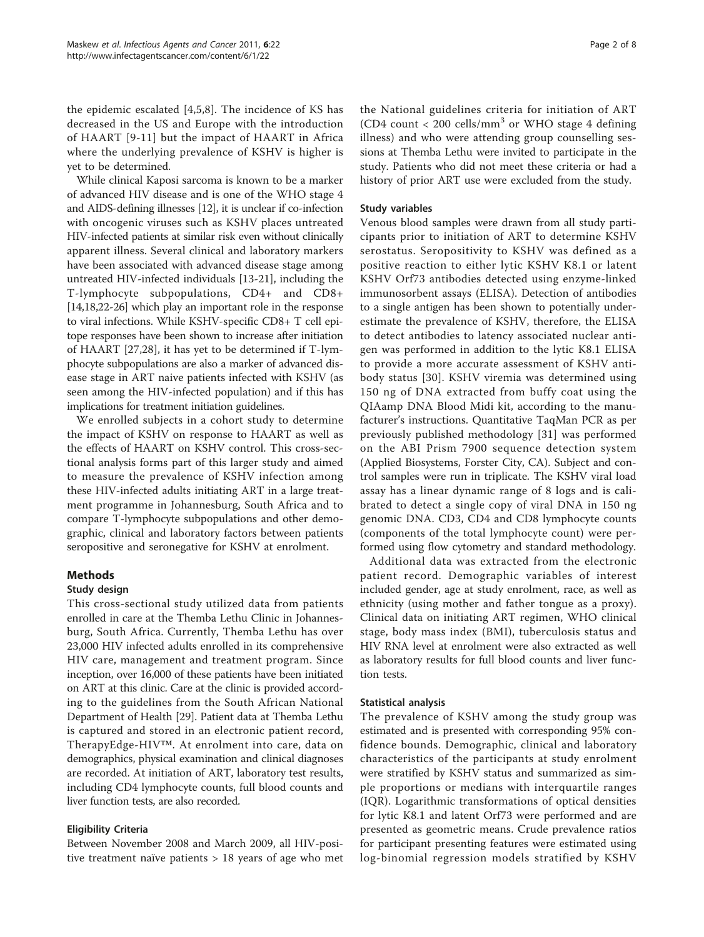the epidemic escalated [[4,5,8](#page-6-0)]. The incidence of KS has decreased in the US and Europe with the introduction of HAART [[9](#page-6-0)-[11](#page-7-0)] but the impact of HAART in Africa where the underlying prevalence of KSHV is higher is yet to be determined.

While clinical Kaposi sarcoma is known to be a marker of advanced HIV disease and is one of the WHO stage 4 and AIDS-defining illnesses [\[12\]](#page-7-0), it is unclear if co-infection with oncogenic viruses such as KSHV places untreated HIV-infected patients at similar risk even without clinically apparent illness. Several clinical and laboratory markers have been associated with advanced disease stage among untreated HIV-infected individuals [\[13](#page-7-0)-[21](#page-7-0)], including the T-lymphocyte subpopulations, CD4+ and CD8+ [[14,18,22-26](#page-7-0)] which play an important role in the response to viral infections. While KSHV-specific CD8+ T cell epitope responses have been shown to increase after initiation of HAART [\[27,28](#page-7-0)], it has yet to be determined if T-lymphocyte subpopulations are also a marker of advanced disease stage in ART naive patients infected with KSHV (as seen among the HIV-infected population) and if this has implications for treatment initiation guidelines.

We enrolled subjects in a cohort study to determine the impact of KSHV on response to HAART as well as the effects of HAART on KSHV control. This cross-sectional analysis forms part of this larger study and aimed to measure the prevalence of KSHV infection among these HIV-infected adults initiating ART in a large treatment programme in Johannesburg, South Africa and to compare T-lymphocyte subpopulations and other demographic, clinical and laboratory factors between patients seropositive and seronegative for KSHV at enrolment.

## Methods

## Study design

This cross-sectional study utilized data from patients enrolled in care at the Themba Lethu Clinic in Johannesburg, South Africa. Currently, Themba Lethu has over 23,000 HIV infected adults enrolled in its comprehensive HIV care, management and treatment program. Since inception, over 16,000 of these patients have been initiated on ART at this clinic. Care at the clinic is provided according to the guidelines from the South African National Department of Health [[29](#page-7-0)]. Patient data at Themba Lethu is captured and stored in an electronic patient record, TherapyEdge-HIV™. At enrolment into care, data on demographics, physical examination and clinical diagnoses are recorded. At initiation of ART, laboratory test results, including CD4 lymphocyte counts, full blood counts and liver function tests, are also recorded.

## Eligibility Criteria

Between November 2008 and March 2009, all HIV-positive treatment naïve patients > 18 years of age who met

the National guidelines criteria for initiation of ART (CD4 count  $< 200$  cells/mm<sup>3</sup> or WHO stage 4 defining illness) and who were attending group counselling sessions at Themba Lethu were invited to participate in the study. Patients who did not meet these criteria or had a history of prior ART use were excluded from the study.

### Study variables

Venous blood samples were drawn from all study participants prior to initiation of ART to determine KSHV serostatus. Seropositivity to KSHV was defined as a positive reaction to either lytic KSHV K8.1 or latent KSHV Orf73 antibodies detected using enzyme-linked immunosorbent assays (ELISA). Detection of antibodies to a single antigen has been shown to potentially underestimate the prevalence of KSHV, therefore, the ELISA to detect antibodies to latency associated nuclear antigen was performed in addition to the lytic K8.1 ELISA to provide a more accurate assessment of KSHV antibody status [\[30\]](#page-7-0). KSHV viremia was determined using 150 ng of DNA extracted from buffy coat using the QIAamp DNA Blood Midi kit, according to the manufacturer's instructions. Quantitative TaqMan PCR as per previously published methodology [\[31\]](#page-7-0) was performed on the ABI Prism 7900 sequence detection system (Applied Biosystems, Forster City, CA). Subject and control samples were run in triplicate. The KSHV viral load assay has a linear dynamic range of 8 logs and is calibrated to detect a single copy of viral DNA in 150 ng genomic DNA. CD3, CD4 and CD8 lymphocyte counts (components of the total lymphocyte count) were performed using flow cytometry and standard methodology.

Additional data was extracted from the electronic patient record. Demographic variables of interest included gender, age at study enrolment, race, as well as ethnicity (using mother and father tongue as a proxy). Clinical data on initiating ART regimen, WHO clinical stage, body mass index (BMI), tuberculosis status and HIV RNA level at enrolment were also extracted as well as laboratory results for full blood counts and liver function tests.

## Statistical analysis

The prevalence of KSHV among the study group was estimated and is presented with corresponding 95% confidence bounds. Demographic, clinical and laboratory characteristics of the participants at study enrolment were stratified by KSHV status and summarized as simple proportions or medians with interquartile ranges (IQR). Logarithmic transformations of optical densities for lytic K8.1 and latent Orf73 were performed and are presented as geometric means. Crude prevalence ratios for participant presenting features were estimated using log-binomial regression models stratified by KSHV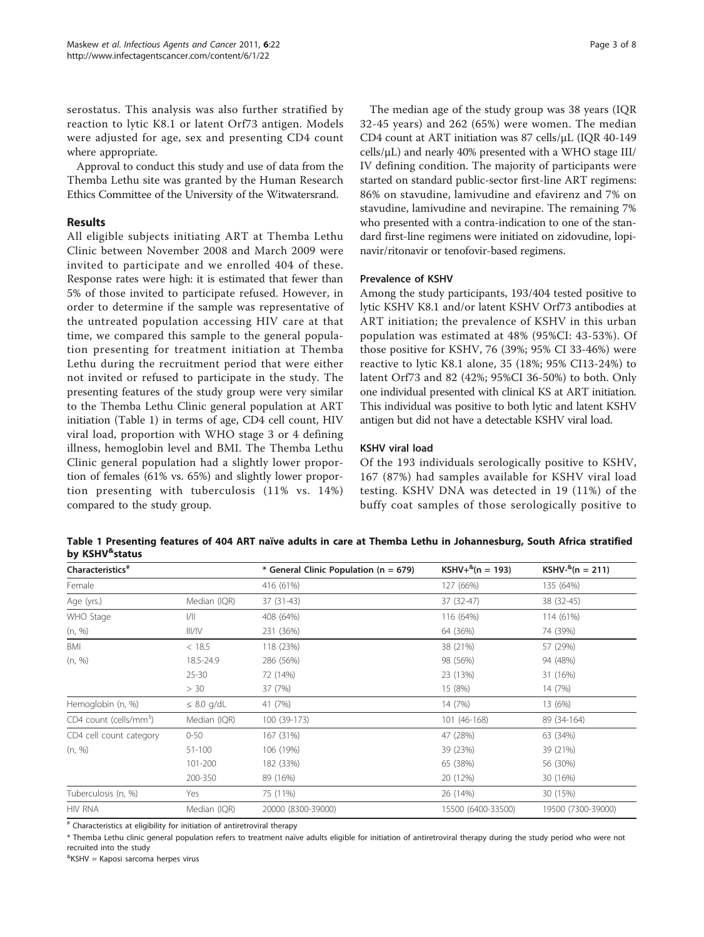serostatus. This analysis was also further stratified by reaction to lytic K8.1 or latent Orf73 antigen. Models were adjusted for age, sex and presenting CD4 count where appropriate.

Approval to conduct this study and use of data from the Themba Lethu site was granted by the Human Research Ethics Committee of the University of the Witwatersrand.

#### Results

All eligible subjects initiating ART at Themba Lethu Clinic between November 2008 and March 2009 were invited to participate and we enrolled 404 of these. Response rates were high: it is estimated that fewer than 5% of those invited to participate refused. However, in order to determine if the sample was representative of the untreated population accessing HIV care at that time, we compared this sample to the general population presenting for treatment initiation at Themba Lethu during the recruitment period that were either not invited or refused to participate in the study. The presenting features of the study group were very similar to the Themba Lethu Clinic general population at ART initiation (Table 1) in terms of age, CD4 cell count, HIV viral load, proportion with WHO stage 3 or 4 defining illness, hemoglobin level and BMI. The Themba Lethu Clinic general population had a slightly lower proportion of females (61% vs. 65%) and slightly lower proportion presenting with tuberculosis (11% vs. 14%) compared to the study group.

The median age of the study group was 38 years (IQR 32-45 years) and 262 (65%) were women. The median CD4 count at ART initiation was 87 cells/μL (IQR 40-149 cells/μL) and nearly 40% presented with a WHO stage III/ IV defining condition. The majority of participants were started on standard public-sector first-line ART regimens: 86% on stavudine, lamivudine and efavirenz and 7% on stavudine, lamivudine and nevirapine. The remaining 7% who presented with a contra-indication to one of the standard first-line regimens were initiated on zidovudine, lopinavir/ritonavir or tenofovir-based regimens.

#### Prevalence of KSHV

Among the study participants, 193/404 tested positive to lytic KSHV K8.1 and/or latent KSHV Orf73 antibodies at ART initiation; the prevalence of KSHV in this urban population was estimated at 48% (95%CI: 43-53%). Of those positive for KSHV, 76 (39%; 95% CI 33-46%) were reactive to lytic K8.1 alone, 35 (18%; 95% CI13-24%) to latent Orf73 and 82 (42%; 95%CI 36-50%) to both. Only one individual presented with clinical KS at ART initiation. This individual was positive to both lytic and latent KSHV antigen but did not have a detectable KSHV viral load.

#### KSHV viral load

Of the 193 individuals serologically positive to KSHV, 167 (87%) had samples available for KSHV viral load testing. KSHV DNA was detected in 19 (11%) of the buffy coat samples of those serologically positive to

Table 1 Presenting features of 404 ART naïve adults in care at Themba Lethu in Johannesburg, South Africa stratified by KSHV<sup>&</sup>status

| Characteristics <sup>#</sup>       |                 | * General Clinic Population (n = 679) | $KSHV+^8(n = 193)$ | $KSHV-^{8}(n = 211)$ |
|------------------------------------|-----------------|---------------------------------------|--------------------|----------------------|
| Female                             |                 | 416 (61%)                             | 127 (66%)          | 135 (64%)            |
| Age (yrs.)                         | Median (IQR)    | 37 (31-43)                            | 37 (32-47)         | 38 (32-45)           |
| WHO Stage                          | 1/              | 408 (64%)                             | 116 (64%)          | 114 (61%)            |
| (n, %)                             | III/IV          | 231 (36%)                             | 64 (36%)           | 74 (39%)             |
| BMI                                | < 18.5          | 118 (23%)                             | 38 (21%)           | 57 (29%)             |
| (n, %)                             | 18.5-24.9       | 286 (56%)                             | 98 (56%)           | 94 (48%)             |
|                                    | $25 - 30$       | 72 (14%)                              | 23 (13%)           | 31 (16%)             |
|                                    | > 30            | 37 (7%)                               | 15 (8%)            | 14 (7%)              |
| Hemoglobin (n, %)                  | $\leq$ 8.0 g/dL | 41 (7%)                               | 14 (7%)            | 13 (6%)              |
| CD4 count (cells/mm <sup>3</sup> ) | Median (IQR)    | 100 (39-173)                          | 101 (46-168)       | 89 (34-164)          |
| CD4 cell count category            | $0 - 50$        | 167 (31%)                             | 47 (28%)           | 63 (34%)             |
| (n, %)                             | 51-100          | 106 (19%)                             | 39 (23%)           | 39 (21%)             |
|                                    | 101-200         | 182 (33%)                             | 65 (38%)           | 56 (30%)             |
|                                    | 200-350         | 89 (16%)                              | 20 (12%)           | 30 (16%)             |
| Tuberculosis (n, %)                | Yes             | 75 (11%)                              | 26 (14%)           | 30 (15%)             |
| <b>HIV RNA</b>                     | Median (IQR)    | 20000 (8300-39000)                    | 15500 (6400-33500) | 19500 (7300-39000)   |

 $*$  Characteristics at eligibility for initiation of antiretroviral therapy

\* Themba Lethu clinic general population refers to treatment naïve adults eligible for initiation of antiretroviral therapy during the study period who were not recruited into the study

& KSHV = Kaposi sarcoma herpes virus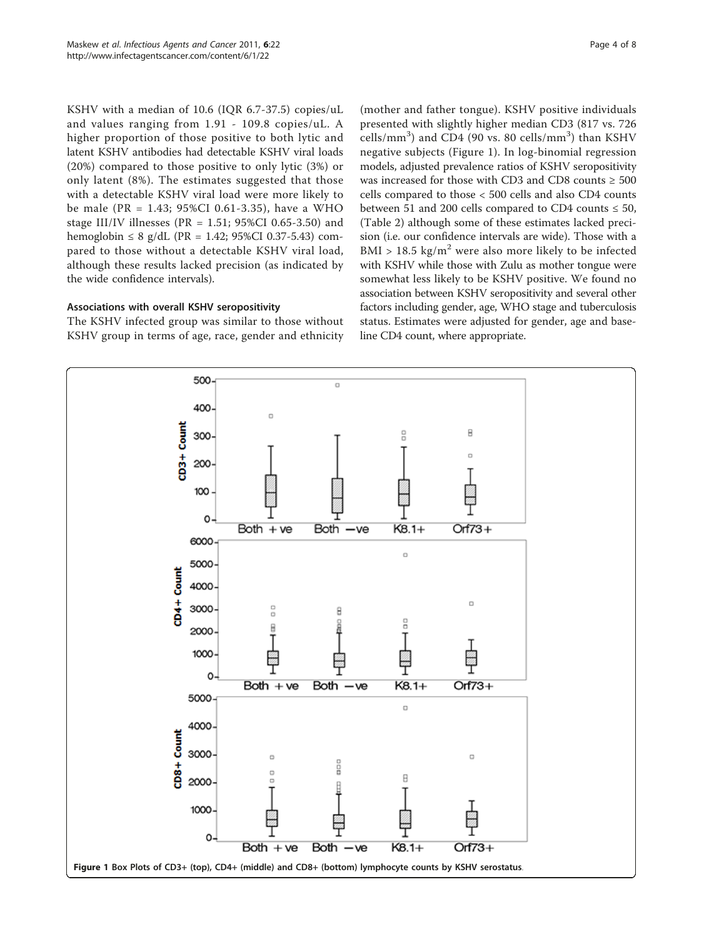KSHV with a median of 10.6 (IQR 6.7-37.5) copies/uL and values ranging from 1.91 - 109.8 copies/uL. A higher proportion of those positive to both lytic and latent KSHV antibodies had detectable KSHV viral loads (20%) compared to those positive to only lytic (3%) or only latent (8%). The estimates suggested that those with a detectable KSHV viral load were more likely to be male (PR = 1.43; 95%CI 0.61-3.35), have a WHO stage III/IV illnesses (PR = 1.51; 95%CI 0.65-3.50) and hemoglobin  $\leq 8$  g/dL (PR = 1.42; 95%CI 0.37-5.43) compared to those without a detectable KSHV viral load, although these results lacked precision (as indicated by the wide confidence intervals).

#### Associations with overall KSHV seropositivity

The KSHV infected group was similar to those without KSHV group in terms of age, race, gender and ethnicity

(mother and father tongue). KSHV positive individuals presented with slightly higher median CD3 (817 vs. 726 cells/mm<sup>3</sup>) and CD4 (90 vs. 80 cells/mm<sup>3</sup>) than KSHV negative subjects (Figure 1). In log-binomial regression models, adjusted prevalence ratios of KSHV seropositivity was increased for those with CD3 and CD8 counts  $\geq 500$ cells compared to those < 500 cells and also CD4 counts between 51 and 200 cells compared to CD4 counts  $\leq 50$ , (Table [2](#page-4-0)) although some of these estimates lacked precision (i.e. our confidence intervals are wide). Those with a BMI > 18.5 kg/m<sup>2</sup> were also more likely to be infected with KSHV while those with Zulu as mother tongue were somewhat less likely to be KSHV positive. We found no association between KSHV seropositivity and several other factors including gender, age, WHO stage and tuberculosis status. Estimates were adjusted for gender, age and baseline CD4 count, where appropriate.

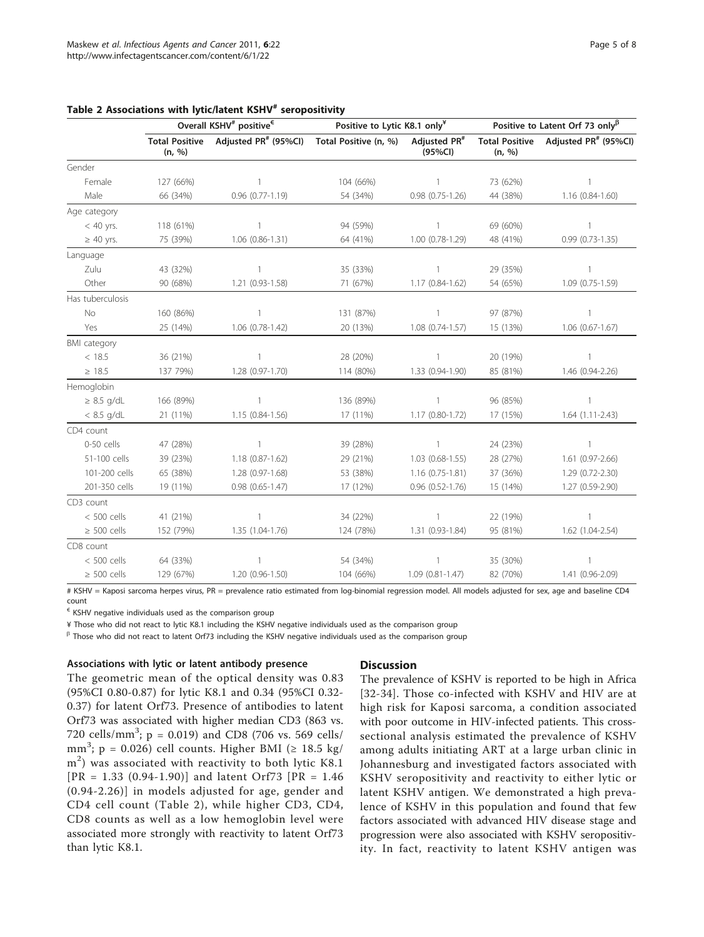|                     | Overall KSHV <sup>#</sup> positive <sup><math>\epsilon</math></sup> |                                                 | Positive to Lytic K8.1 only <sup>¥</sup> |                                     | Positive to Latent Orf 73 only $\beta$ |                                                 |
|---------------------|---------------------------------------------------------------------|-------------------------------------------------|------------------------------------------|-------------------------------------|----------------------------------------|-------------------------------------------------|
|                     | (n, %)                                                              | Total Positive Adjusted PR <sup>#</sup> (95%Cl) | Total Positive (n, %)                    | Adjusted PR <sup>#</sup><br>(95%CI) | (n, %)                                 | Total Positive Adjusted PR <sup>#</sup> (95%Cl) |
| Gender              |                                                                     |                                                 |                                          |                                     |                                        |                                                 |
| Female              | 127 (66%)                                                           | $\mathbf{1}$                                    | 104 (66%)                                | $\overline{1}$                      | 73 (62%)                               | $\mathbf{1}$                                    |
| Male                | 66 (34%)                                                            | $0.96$ $(0.77 - 1.19)$                          | 54 (34%)                                 | $0.98(0.75-1.26)$                   | 44 (38%)                               | 1.16 (0.84-1.60)                                |
| Age category        |                                                                     |                                                 |                                          |                                     |                                        |                                                 |
| $< 40$ yrs.         | 118 (61%)                                                           | $\mathbf{1}$                                    | 94 (59%)                                 | $\mathbf{1}$                        | 69 (60%)                               | $\mathbf{1}$                                    |
| $\geq 40$ yrs.      | 75 (39%)                                                            | 1.06 (0.86-1.31)                                | 64 (41%)                                 | 1.00 (0.78-1.29)                    | 48 (41%)                               | $0.99(0.73-1.35)$                               |
| Language            |                                                                     |                                                 |                                          |                                     |                                        |                                                 |
| Zulu                | 43 (32%)                                                            | $\mathbf{1}$                                    | 35 (33%)                                 | $\overline{1}$                      | 29 (35%)                               | $\mathbf{1}$                                    |
| Other               | 90 (68%)                                                            | 1.21 (0.93-1.58)                                | 71 (67%)                                 | $1.17(0.84-1.62)$                   | 54 (65%)                               | $1.09(0.75-1.59)$                               |
| Has tuberculosis    |                                                                     |                                                 |                                          |                                     |                                        |                                                 |
| No                  | 160 (86%)                                                           | $\mathbf{1}$                                    | 131 (87%)                                | $\overline{1}$                      | 97 (87%)                               | $\mathbf{1}$                                    |
| Yes                 | 25 (14%)                                                            | $1.06(0.78-1.42)$                               | 20 (13%)                                 | $1.08(0.74-1.57)$                   | 15 (13%)                               | $1.06(0.67 - 1.67)$                             |
| <b>BMI</b> category |                                                                     |                                                 |                                          |                                     |                                        |                                                 |
| < 18.5              | 36 (21%)                                                            | $\mathbf{1}$                                    | 28 (20%)                                 | $\mathbf{1}$                        | 20 (19%)                               | $\mathbf{1}$                                    |
| $\geq 18.5$         | 137 79%)                                                            | 1.28 (0.97-1.70)                                | 114 (80%)                                | 1.33 (0.94-1.90)                    | 85 (81%)                               | 1.46 (0.94-2.26)                                |
| Hemoglobin          |                                                                     |                                                 |                                          |                                     |                                        |                                                 |
| $\geq$ 8.5 g/dL     | 166 (89%)                                                           | $\mathbf{1}$                                    | 136 (89%)                                | $\overline{1}$                      | 96 (85%)                               | $\mathbf{1}$                                    |
| $< 8.5$ g/dL        | 21 (11%)                                                            | 1.15 (0.84-1.56)                                | 17 (11%)                                 | 1.17 (0.80-1.72)                    | 17 (15%)                               | $1.64(1.11-2.43)$                               |
| CD4 count           |                                                                     |                                                 |                                          |                                     |                                        |                                                 |
| 0-50 cells          | 47 (28%)                                                            | $\mathbf{1}$                                    | 39 (28%)                                 | $\mathbf{1}$                        | 24 (23%)                               | $\mathbf{1}$                                    |
| 51-100 cells        | 39 (23%)                                                            | 1.18 (0.87-1.62)                                | 29 (21%)                                 | 1.03 (0.68-1.55)                    | 28 (27%)                               | 1.61 (0.97-2.66)                                |
| 101-200 cells       | 65 (38%)                                                            | 1.28 (0.97-1.68)                                | 53 (38%)                                 | $1.16(0.75-1.81)$                   | 37 (36%)                               | 1.29 (0.72-2.30)                                |
| 201-350 cells       | 19 (11%)                                                            | $0.98(0.65 - 1.47)$                             | 17 (12%)                                 | $0.96$ $(0.52 - 1.76)$              | 15 (14%)                               | 1.27 (0.59-2.90)                                |
| CD3 count           |                                                                     |                                                 |                                          |                                     |                                        |                                                 |
| $< 500$ cells       | 41 (21%)                                                            | $\mathbf{1}$                                    | 34 (22%)                                 | $\mathbf{1}$                        | 22 (19%)                               | $\mathbf{1}$                                    |
| $\geq$ 500 cells    | 152 (79%)                                                           | 1.35 (1.04-1.76)                                | 124 (78%)                                | 1.31 (0.93-1.84)                    | 95 (81%)                               | 1.62 (1.04-2.54)                                |
| CD8 count           |                                                                     |                                                 |                                          |                                     |                                        |                                                 |
| $< 500$ cells       | 64 (33%)                                                            | 1                                               | 54 (34%)                                 | 1                                   | 35 (30%)                               | $\mathbf{1}$                                    |
| $\geq$ 500 cells    | 129 (67%)                                                           | 1.20 (0.96-1.50)                                | 104 (66%)                                | $1.09(0.81 - 1.47)$                 | 82 (70%)                               | 1.41 (0.96-2.09)                                |

### <span id="page-4-0"></span>Table 2 Associations with lytic/latent KSHV# seropositivity

# KSHV = Kaposi sarcoma herpes virus, PR = prevalence ratio estimated from log-binomial regression model. All models adjusted for sex, age and baseline CD4 count

 $\epsilon$  KSHV negative individuals used as the comparison group

¥ Those who did not react to lytic K8.1 including the KSHV negative individuals used as the comparison group

 $\beta$  Those who did not react to latent Orf73 including the KSHV negative individuals used as the comparison group

#### Associations with lytic or latent antibody presence

**Discussion** 

The geometric mean of the optical density was 0.83 (95%CI 0.80-0.87) for lytic K8.1 and 0.34 (95%CI 0.32- 0.37) for latent Orf73. Presence of antibodies to latent Orf73 was associated with higher median CD3 (863 vs. 720 cells/mm<sup>3</sup>;  $p = 0.019$ ) and CD8 (706 vs. 569 cells/ mm<sup>3</sup>; p = 0.026) cell counts. Higher BMI ( $\geq 18.5$  kg/ m<sup>2</sup>) was associated with reactivity to both lytic K8.1  $[PR = 1.33 (0.94-1.90)]$  and latent Orf73  $[PR = 1.46]$ (0.94-2.26)] in models adjusted for age, gender and CD4 cell count (Table 2), while higher CD3, CD4, CD8 counts as well as a low hemoglobin level were associated more strongly with reactivity to latent Orf73 than lytic K8.1.

The prevalence of KSHV is reported to be high in Africa [[32](#page-7-0)-[34](#page-7-0)]. Those co-infected with KSHV and HIV are at high risk for Kaposi sarcoma, a condition associated with poor outcome in HIV-infected patients. This crosssectional analysis estimated the prevalence of KSHV among adults initiating ART at a large urban clinic in Johannesburg and investigated factors associated with KSHV seropositivity and reactivity to either lytic or latent KSHV antigen. We demonstrated a high prevalence of KSHV in this population and found that few factors associated with advanced HIV disease stage and progression were also associated with KSHV seropositivity. In fact, reactivity to latent KSHV antigen was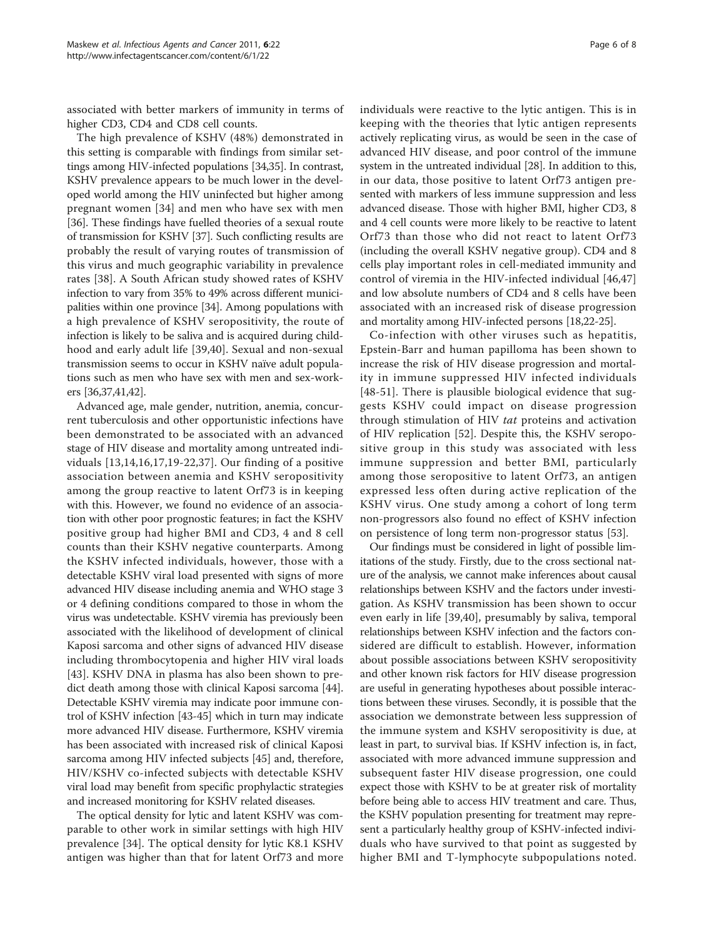associated with better markers of immunity in terms of higher CD3, CD4 and CD8 cell counts.

The high prevalence of KSHV (48%) demonstrated in this setting is comparable with findings from similar settings among HIV-infected populations [[34](#page-7-0),[35](#page-7-0)]. In contrast, KSHV prevalence appears to be much lower in the developed world among the HIV uninfected but higher among pregnant women [[34\]](#page-7-0) and men who have sex with men [[36](#page-7-0)]. These findings have fuelled theories of a sexual route of transmission for KSHV [\[37](#page-7-0)]. Such conflicting results are probably the result of varying routes of transmission of this virus and much geographic variability in prevalence rates [[38\]](#page-7-0). A South African study showed rates of KSHV infection to vary from 35% to 49% across different municipalities within one province [\[34\]](#page-7-0). Among populations with a high prevalence of KSHV seropositivity, the route of infection is likely to be saliva and is acquired during childhood and early adult life [\[39,40\]](#page-7-0). Sexual and non-sexual transmission seems to occur in KSHV naïve adult populations such as men who have sex with men and sex-workers [\[36,37,41,42](#page-7-0)].

Advanced age, male gender, nutrition, anemia, concurrent tuberculosis and other opportunistic infections have been demonstrated to be associated with an advanced stage of HIV disease and mortality among untreated individuals [\[13](#page-7-0),[14,16,17,19-22,37](#page-7-0)]. Our finding of a positive association between anemia and KSHV seropositivity among the group reactive to latent Orf73 is in keeping with this. However, we found no evidence of an association with other poor prognostic features; in fact the KSHV positive group had higher BMI and CD3, 4 and 8 cell counts than their KSHV negative counterparts. Among the KSHV infected individuals, however, those with a detectable KSHV viral load presented with signs of more advanced HIV disease including anemia and WHO stage 3 or 4 defining conditions compared to those in whom the virus was undetectable. KSHV viremia has previously been associated with the likelihood of development of clinical Kaposi sarcoma and other signs of advanced HIV disease including thrombocytopenia and higher HIV viral loads [[43\]](#page-7-0). KSHV DNA in plasma has also been shown to predict death among those with clinical Kaposi sarcoma [[44](#page-7-0)]. Detectable KSHV viremia may indicate poor immune control of KSHV infection [[43](#page-7-0)-[45](#page-7-0)] which in turn may indicate more advanced HIV disease. Furthermore, KSHV viremia has been associated with increased risk of clinical Kaposi sarcoma among HIV infected subjects [\[45](#page-7-0)] and, therefore, HIV/KSHV co-infected subjects with detectable KSHV viral load may benefit from specific prophylactic strategies and increased monitoring for KSHV related diseases.

The optical density for lytic and latent KSHV was comparable to other work in similar settings with high HIV prevalence [[34\]](#page-7-0). The optical density for lytic K8.1 KSHV antigen was higher than that for latent Orf73 and more

individuals were reactive to the lytic antigen. This is in keeping with the theories that lytic antigen represents actively replicating virus, as would be seen in the case of advanced HIV disease, and poor control of the immune system in the untreated individual [[28](#page-7-0)]. In addition to this, in our data, those positive to latent Orf73 antigen presented with markers of less immune suppression and less advanced disease. Those with higher BMI, higher CD3, 8 and 4 cell counts were more likely to be reactive to latent Orf73 than those who did not react to latent Orf73 (including the overall KSHV negative group). CD4 and 8 cells play important roles in cell-mediated immunity and control of viremia in the HIV-infected individual [\[46,47](#page-7-0)] and low absolute numbers of CD4 and 8 cells have been associated with an increased risk of disease progression and mortality among HIV-infected persons [\[18,22](#page-7-0)-[25](#page-7-0)].

Co-infection with other viruses such as hepatitis, Epstein-Barr and human papilloma has been shown to increase the risk of HIV disease progression and mortality in immune suppressed HIV infected individuals [[48-51\]](#page-7-0). There is plausible biological evidence that suggests KSHV could impact on disease progression through stimulation of HIV tat proteins and activation of HIV replication [[52\]](#page-7-0). Despite this, the KSHV seropositive group in this study was associated with less immune suppression and better BMI, particularly among those seropositive to latent Orf73, an antigen expressed less often during active replication of the KSHV virus. One study among a cohort of long term non-progressors also found no effect of KSHV infection on persistence of long term non-progressor status [[53\]](#page-7-0).

Our findings must be considered in light of possible limitations of the study. Firstly, due to the cross sectional nature of the analysis, we cannot make inferences about causal relationships between KSHV and the factors under investigation. As KSHV transmission has been shown to occur even early in life [[39,40\]](#page-7-0), presumably by saliva, temporal relationships between KSHV infection and the factors considered are difficult to establish. However, information about possible associations between KSHV seropositivity and other known risk factors for HIV disease progression are useful in generating hypotheses about possible interactions between these viruses. Secondly, it is possible that the association we demonstrate between less suppression of the immune system and KSHV seropositivity is due, at least in part, to survival bias. If KSHV infection is, in fact, associated with more advanced immune suppression and subsequent faster HIV disease progression, one could expect those with KSHV to be at greater risk of mortality before being able to access HIV treatment and care. Thus, the KSHV population presenting for treatment may represent a particularly healthy group of KSHV-infected individuals who have survived to that point as suggested by higher BMI and T-lymphocyte subpopulations noted.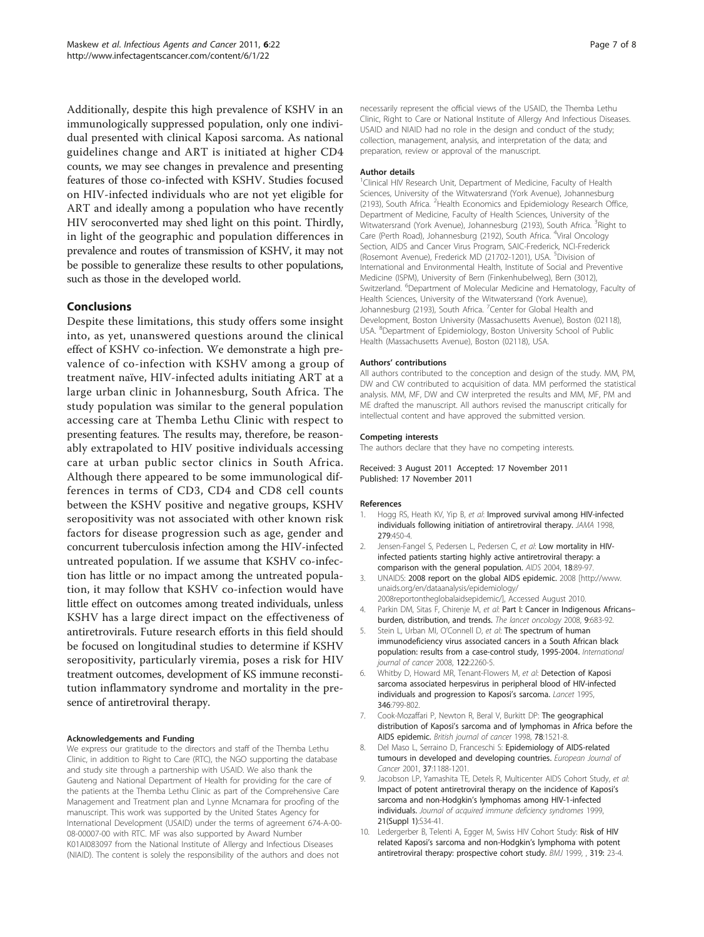<span id="page-6-0"></span>Additionally, despite this high prevalence of KSHV in an immunologically suppressed population, only one individual presented with clinical Kaposi sarcoma. As national guidelines change and ART is initiated at higher CD4 counts, we may see changes in prevalence and presenting features of those co-infected with KSHV. Studies focused on HIV-infected individuals who are not yet eligible for ART and ideally among a population who have recently HIV seroconverted may shed light on this point. Thirdly, in light of the geographic and population differences in prevalence and routes of transmission of KSHV, it may not be possible to generalize these results to other populations, such as those in the developed world.

#### Conclusions

Despite these limitations, this study offers some insight into, as yet, unanswered questions around the clinical effect of KSHV co-infection. We demonstrate a high prevalence of co-infection with KSHV among a group of treatment naïve, HIV-infected adults initiating ART at a large urban clinic in Johannesburg, South Africa. The study population was similar to the general population accessing care at Themba Lethu Clinic with respect to presenting features. The results may, therefore, be reasonably extrapolated to HIV positive individuals accessing care at urban public sector clinics in South Africa. Although there appeared to be some immunological differences in terms of CD3, CD4 and CD8 cell counts between the KSHV positive and negative groups, KSHV seropositivity was not associated with other known risk factors for disease progression such as age, gender and concurrent tuberculosis infection among the HIV-infected untreated population. If we assume that KSHV co-infection has little or no impact among the untreated population, it may follow that KSHV co-infection would have little effect on outcomes among treated individuals, unless KSHV has a large direct impact on the effectiveness of antiretrovirals. Future research efforts in this field should be focused on longitudinal studies to determine if KSHV seropositivity, particularly viremia, poses a risk for HIV treatment outcomes, development of KS immune reconstitution inflammatory syndrome and mortality in the presence of antiretroviral therapy.

#### Acknowledgements and Funding

We express our gratitude to the directors and staff of the Themba Lethu Clinic, in addition to Right to Care (RTC), the NGO supporting the database and study site through a partnership with USAID. We also thank the Gauteng and National Department of Health for providing for the care of the patients at the Themba Lethu Clinic as part of the Comprehensive Care Management and Treatment plan and Lynne Mcnamara for proofing of the manuscript. This work was supported by the United States Agency for International Development (USAID) under the terms of agreement 674-A-00- 08-00007-00 with RTC. MF was also supported by Award Number K01AI083097 from the National Institute of Allergy and Infectious Diseases (NIAID). The content is solely the responsibility of the authors and does not

necessarily represent the official views of the USAID, the Themba Lethu Clinic, Right to Care or National Institute of Allergy And Infectious Diseases. USAID and NIAID had no role in the design and conduct of the study; collection, management, analysis, and interpretation of the data; and preparation, review or approval of the manuscript.

#### Author details

<sup>1</sup> Clinical HIV Research Unit, Department of Medicine, Faculty of Health Sciences, University of the Witwatersrand (York Avenue), Johannesburg (2193), South Africa. <sup>2</sup> Health Economics and Epidemiology Research Office Department of Medicine, Faculty of Health Sciences, University of the Witwatersrand (York Avenue), Johannesburg (2193), South Africa. <sup>3</sup>Right to Care (Perth Road), Johannesburg (2192), South Africa. <sup>4</sup>Viral Oncology Section, AIDS and Cancer Virus Program, SAIC-Frederick, NCI-Frederick (Rosemont Avenue), Frederick MD (21702-1201), USA. <sup>5</sup>Division of International and Environmental Health, Institute of Social and Preventive Medicine (ISPM), University of Bern (Finkenhubelweg), Bern (3012), Switzerland. <sup>6</sup>Department of Molecular Medicine and Hematology, Faculty of Health Sciences, University of the Witwatersrand (York Avenue), Johannesburg (2193), South Africa. <sup>7</sup>Center for Global Health and Development, Boston University (Massachusetts Avenue), Boston (02118), USA. <sup>8</sup>Department of Epidemiology, Boston University School of Public Health (Massachusetts Avenue), Boston (02118), USA.

#### Authors' contributions

All authors contributed to the conception and design of the study. MM, PM, DW and CW contributed to acquisition of data. MM performed the statistical analysis. MM, MF, DW and CW interpreted the results and MM, MF, PM and ME drafted the manuscript. All authors revised the manuscript critically for intellectual content and have approved the submitted version.

#### Competing interests

The authors declare that they have no competing interests.

#### Received: 3 August 2011 Accepted: 17 November 2011 Published: 17 November 2011

#### References

- 1. Hogg RS, Heath KV, Yip B, et al: [Improved survival among HIV-infected](http://www.ncbi.nlm.nih.gov/pubmed/9466638?dopt=Abstract) [individuals following initiation of antiretroviral therapy.](http://www.ncbi.nlm.nih.gov/pubmed/9466638?dopt=Abstract) JAMA 1998, 279:450-4.
- 2. Jensen-Fangel S, Pedersen L, Pedersen C, et al: [Low mortality in HIV](http://www.ncbi.nlm.nih.gov/pubmed/15090834?dopt=Abstract)[infected patients starting highly active antiretroviral therapy: a](http://www.ncbi.nlm.nih.gov/pubmed/15090834?dopt=Abstract) [comparison with the general population.](http://www.ncbi.nlm.nih.gov/pubmed/15090834?dopt=Abstract) AIDS 2004, 18:89-97.
- 3. UNAIDS: 2008 report on the global AIDS epidemic. 2008 [[http://www.](http://www.unaids.org/en/dataanalysis/epidemiology/2008reportontheglobalaidsepidemic/) [unaids.org/en/dataanalysis/epidemiology/](http://www.unaids.org/en/dataanalysis/epidemiology/2008reportontheglobalaidsepidemic/) [2008reportontheglobalaidsepidemic/\]](http://www.unaids.org/en/dataanalysis/epidemiology/2008reportontheglobalaidsepidemic/), Accessed August 2010.
- 4. Parkin DM, Sitas F, Chirenje M, et al: [Part I: Cancer in Indigenous Africans](http://www.ncbi.nlm.nih.gov/pubmed/18598933?dopt=Abstract)[burden, distribution, and trends.](http://www.ncbi.nlm.nih.gov/pubmed/18598933?dopt=Abstract) The lancet oncology 2008, 9:683-92.
- 5. Stein L, Urban MI, O'Connell D, et al: The spectrum of human immunodeficiency virus associated cancers in a South African black population: results from a case-control study, 1995-2004. International journal of cancer 2008, 122:2260-5.
- 6. Whitby D, Howard MR, Tenant-Flowers M, et al: [Detection of Kaposi](http://www.ncbi.nlm.nih.gov/pubmed/7674745?dopt=Abstract) [sarcoma associated herpesvirus in peripheral blood of HIV-infected](http://www.ncbi.nlm.nih.gov/pubmed/7674745?dopt=Abstract) [individuals and progression to Kaposi](http://www.ncbi.nlm.nih.gov/pubmed/7674745?dopt=Abstract)'s sarcoma. Lancet 1995, 346:799-802.
- 7. Cook-Mozaffari P, Newton R, Beral V, Burkitt DP: [The geographical](http://www.ncbi.nlm.nih.gov/pubmed/9836488?dopt=Abstract) distribution of Kaposi'[s sarcoma and of lymphomas in Africa before the](http://www.ncbi.nlm.nih.gov/pubmed/9836488?dopt=Abstract) [AIDS epidemic.](http://www.ncbi.nlm.nih.gov/pubmed/9836488?dopt=Abstract) British journal of cancer 1998, 78:1521-8.
- 8. Del Maso L, Serraino D, Franceschi S: [Epidemiology of AIDS-related](http://www.ncbi.nlm.nih.gov/pubmed/11423251?dopt=Abstract) [tumours in developed and developing countries.](http://www.ncbi.nlm.nih.gov/pubmed/11423251?dopt=Abstract) European Journal of Cancer 2001, 37:1188-1201.
- 9. Jacobson LP, Yamashita TE, Detels R, Multicenter AIDS Cohort Study, et al: [Impact of potent antiretroviral therapy on the incidence of Kaposi](http://www.ncbi.nlm.nih.gov/pubmed/10430217?dopt=Abstract)'s sarcoma and non-Hodgkin'[s lymphomas among HIV-1-infected](http://www.ncbi.nlm.nih.gov/pubmed/10430217?dopt=Abstract) [individuals.](http://www.ncbi.nlm.nih.gov/pubmed/10430217?dopt=Abstract) Journal of acquired immune deficiency syndromes 1999, 21(Suppl 1):S34-41.
- 10. Ledergerber B, Telenti A, Egger M, Swiss HIV Cohort Study: Risk of HIV related Kaposi's sarcoma and non-Hodgkin's lymphoma with potent antiretroviral therapy: prospective cohort study. BMJ 1999, , 319: 23-4.